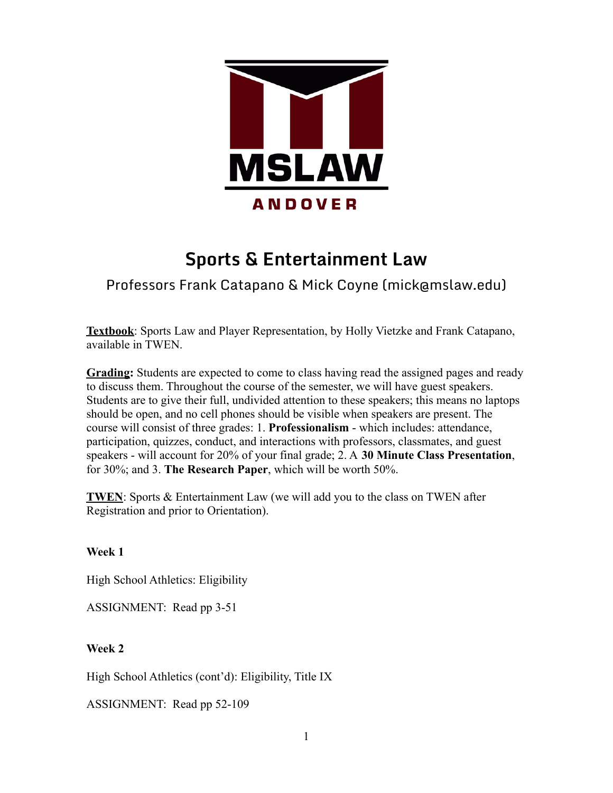

# **Sports & Entertainment Law**

# Professors Frank Catapano & Mick Coyne (mick@mslaw.edu)

**Textbook**: Sports Law and Player Representation, by Holly Vietzke and Frank Catapano, available in TWEN.

**Grading:** Students are expected to come to class having read the assigned pages and ready to discuss them. Throughout the course of the semester, we will have guest speakers. Students are to give their full, undivided attention to these speakers; this means no laptops should be open, and no cell phones should be visible when speakers are present. The course will consist of three grades: 1. **Professionalism** - which includes: attendance, participation, quizzes, conduct, and interactions with professors, classmates, and guest speakers - will account for 20% of your final grade; 2. A **30 Minute Class Presentation**, for 30%; and 3. **The Research Paper**, which will be worth 50%.

**TWEN**: Sports & Entertainment Law (we will add you to the class on TWEN after Registration and prior to Orientation).

# **Week 1**

High School Athletics: Eligibility

ASSIGNMENT: Read pp 3-51

# **Week 2**

High School Athletics (cont'd): Eligibility, Title IX

ASSIGNMENT: Read pp 52-109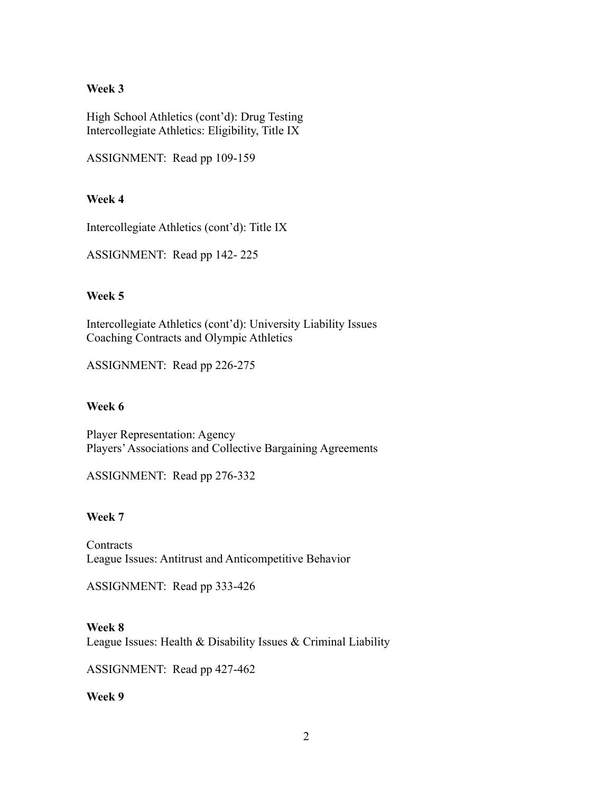## **Week 3**

High School Athletics (cont'd): Drug Testing Intercollegiate Athletics: Eligibility, Title IX

ASSIGNMENT: Read pp 109-159

# **Week 4**

Intercollegiate Athletics (cont'd): Title IX

ASSIGNMENT: Read pp 142- 225

# **Week 5**

Intercollegiate Athletics (cont'd): University Liability Issues Coaching Contracts and Olympic Athletics

ASSIGNMENT: Read pp 226-275

#### **Week 6**

Player Representation: Agency Players'Associations and Collective Bargaining Agreements

ASSIGNMENT: Read pp 276-332

#### **Week 7**

**Contracts** League Issues: Antitrust and Anticompetitive Behavior

ASSIGNMENT: Read pp 333-426

# **Week 8**

League Issues: Health & Disability Issues & Criminal Liability

ASSIGNMENT: Read pp 427-462

**Week 9**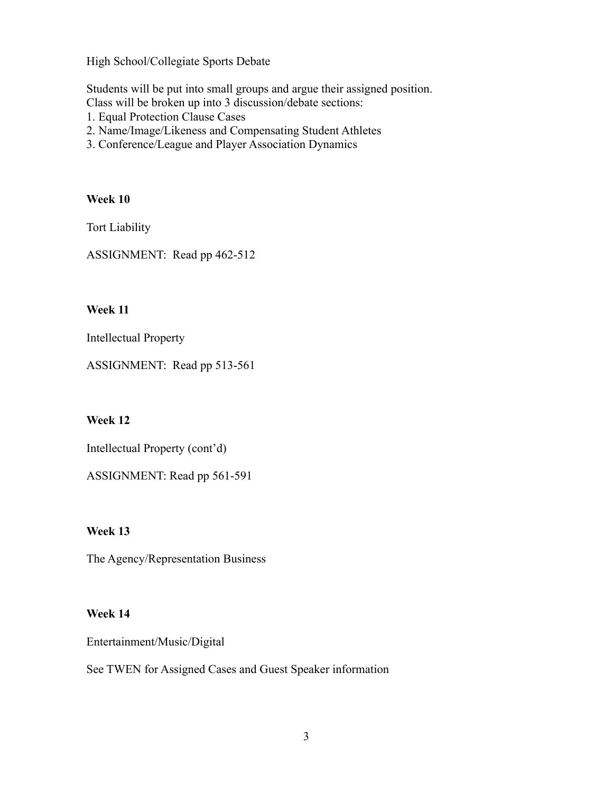High School/Collegiate Sports Debate

Students will be put into small groups and argue their assigned position. Class will be broken up into 3 discussion/debate sections:

- 1. Equal Protection Clause Cases
- 2. Name/Image/Likeness and Compensating Student Athletes
- 3. Conference/League and Player Association Dynamics

#### **Week 10**

Tort Liability

ASSIGNMENT: Read pp 462-512

### **Week 11**

Intellectual Property

ASSIGNMENT: Read pp 513-561

### **Week 12**

Intellectual Property (cont'd)

ASSIGNMENT: Read pp 561-591

# **Week 13**

The Agency/Representation Business

#### **Week 14**

Entertainment/Music/Digital

See TWEN for Assigned Cases and Guest Speaker information